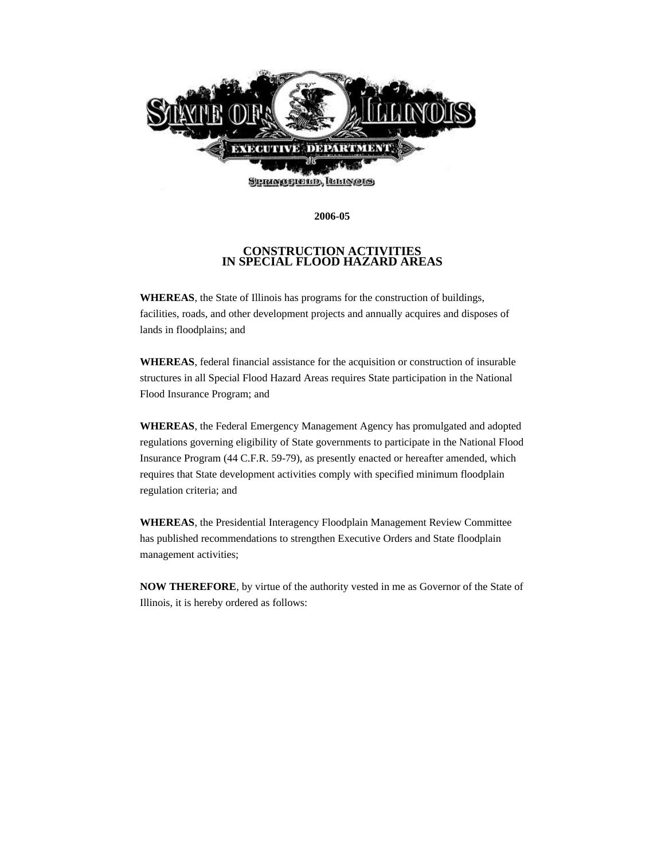

**2006-05**

## **CONSTRUCTION ACTIVITIES IN SPECIAL FLOOD HAZARD AREAS**

**WHEREAS**, the State of Illinois has programs for the construction of buildings, facilities, roads, and other development projects and annually acquires and disposes of lands in floodplains; and

**WHEREAS**, federal financial assistance for the acquisition or construction of insurable structures in all Special Flood Hazard Areas requires State participation in the National Flood Insurance Program; and

**WHEREAS**, the Federal Emergency Management Agency has promulgated and adopted regulations governing eligibility of State governments to participate in the National Flood Insurance Program (44 C.F.R. 59-79), as presently enacted or hereafter amended, which requires that State development activities comply with specified minimum floodplain regulation criteria; and

**WHEREAS**, the Presidential Interagency Floodplain Management Review Committee has published recommendations to strengthen Executive Orders and State floodplain management activities;

**NOW THEREFORE**, by virtue of the authority vested in me as Governor of the State of Illinois, it is hereby ordered as follows: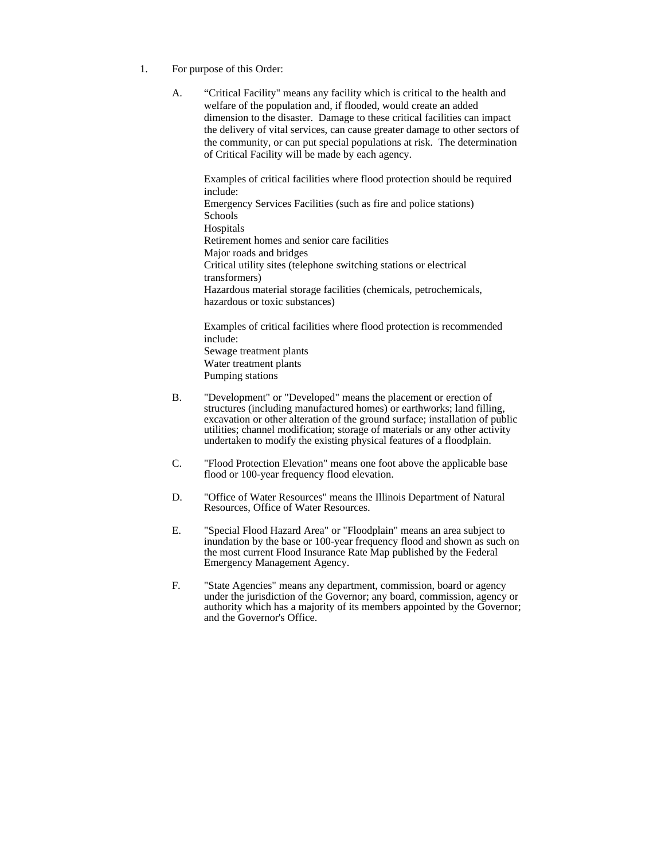- 1. For purpose of this Order:
	- A. "Critical Facility" means any facility which is critical to the health and welfare of the population and, if flooded, would create an added dimension to the disaster. Damage to these critical facilities can impact the delivery of vital services, can cause greater damage to other sectors of the community, or can put special populations at risk. The determination of Critical Facility will be made by each agency.

Examples of critical facilities where flood protection should be required include: Emergency Services Facilities (such as fire and police stations) Schools **Hospitals** Retirement homes and senior care facilities Major roads and bridges Critical utility sites (telephone switching stations or electrical transformers) Hazardous material storage facilities (chemicals, petrochemicals, hazardous or toxic substances)

Examples of critical facilities where flood protection is recommended include: Sewage treatment plants Water treatment plants Pumping stations

- B. "Development" or "Developed" means the placement or erection of structures (including manufactured homes) or earthworks; land filling, excavation or other alteration of the ground surface; installation of public utilities; channel modification; storage of materials or any other activity undertaken to modify the existing physical features of a floodplain.
- C. "Flood Protection Elevation" means one foot above the applicable base flood or 100-year frequency flood elevation.
- D. "Office of Water Resources" means the Illinois Department of Natural Resources, Office of Water Resources.
- E. "Special Flood Hazard Area" or "Floodplain" means an area subject to inundation by the base or 100-year frequency flood and shown as such on the most current Flood Insurance Rate Map published by the Federal Emergency Management Agency.
- F. "State Agencies" means any department, commission, board or agency under the jurisdiction of the Governor; any board, commission, agency or authority which has a majority of its members appointed by the Governor; and the Governor's Office.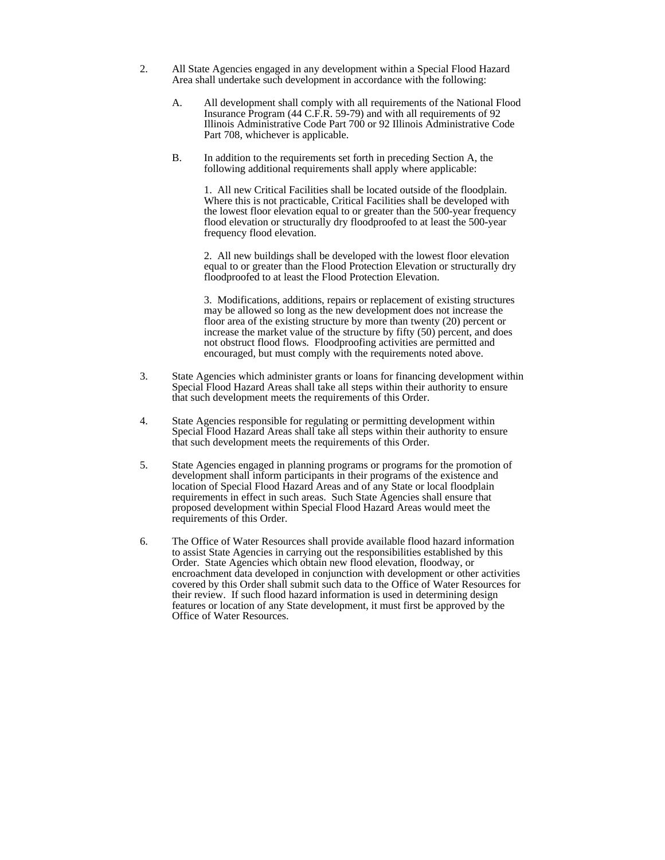- 2. All State Agencies engaged in any development within a Special Flood Hazard Area shall undertake such development in accordance with the following:
	- A. All development shall comply with all requirements of the National Flood Insurance Program (44 C.F.R. 59-79) and with all requirements of 92 Illinois Administrative Code Part 700 or 92 Illinois Administrative Code Part 708, whichever is applicable.
	- B. In addition to the requirements set forth in preceding Section A, the following additional requirements shall apply where applicable:

1. All new Critical Facilities shall be located outside of the floodplain. Where this is not practicable, Critical Facilities shall be developed with the lowest floor elevation equal to or greater than the 500-year frequency flood elevation or structurally dry floodproofed to at least the 500-year frequency flood elevation.

2. All new buildings shall be developed with the lowest floor elevation equal to or greater than the Flood Protection Elevation or structurally dry floodproofed to at least the Flood Protection Elevation.

3. Modifications, additions, repairs or replacement of existing structures may be allowed so long as the new development does not increase the floor area of the existing structure by more than twenty (20) percent or increase the market value of the structure by fifty (50) percent, and does not obstruct flood flows. Floodproofing activities are permitted and encouraged, but must comply with the requirements noted above.

- 3. State Agencies which administer grants or loans for financing development within Special Flood Hazard Areas shall take all steps within their authority to ensure that such development meets the requirements of this Order.
- 4. State Agencies responsible for regulating or permitting development within Special Flood Hazard Areas shall take all steps within their authority to ensure that such development meets the requirements of this Order.
- 5. State Agencies engaged in planning programs or programs for the promotion of development shall inform participants in their programs of the existence and location of Special Flood Hazard Areas and of any State or local floodplain requirements in effect in such areas. Such State Agencies shall ensure that proposed development within Special Flood Hazard Areas would meet the requirements of this Order.
- 6. The Office of Water Resources shall provide available flood hazard information to assist State Agencies in carrying out the responsibilities established by this Order. State Agencies which obtain new flood elevation, floodway, or encroachment data developed in conjunction with development or other activities covered by this Order shall submit such data to the Office of Water Resources for their review. If such flood hazard information is used in determining design features or location of any State development, it must first be approved by the Office of Water Resources.